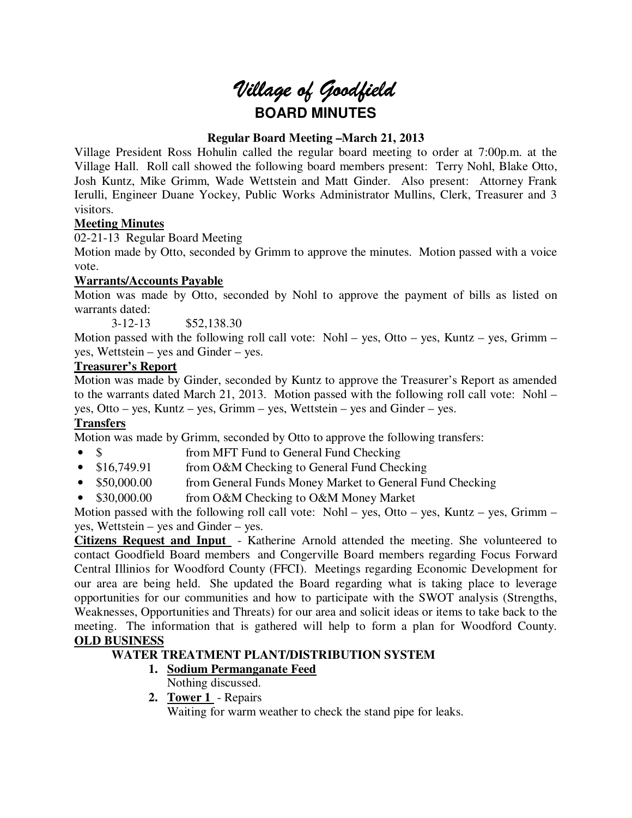# *Village of Goodfield* **BOARD MINUTES**

## **Regular Board Meeting –March 21, 2013**

Village President Ross Hohulin called the regular board meeting to order at 7:00p.m. at the Village Hall. Roll call showed the following board members present: Terry Nohl, Blake Otto, Josh Kuntz, Mike Grimm, Wade Wettstein and Matt Ginder. Also present: Attorney Frank Ierulli, Engineer Duane Yockey, Public Works Administrator Mullins, Clerk, Treasurer and 3 visitors.

## **Meeting Minutes**

02-21-13 Regular Board Meeting

Motion made by Otto, seconded by Grimm to approve the minutes. Motion passed with a voice vote.

## **Warrants/Accounts Payable**

Motion was made by Otto, seconded by Nohl to approve the payment of bills as listed on warrants dated:

3-12-13 \$52,138.30

Motion passed with the following roll call vote: Nohl – yes, Otto – yes, Kuntz – yes, Grimm – yes, Wettstein – yes and Ginder – yes.

## **Treasurer's Report**

Motion was made by Ginder, seconded by Kuntz to approve the Treasurer's Report as amended to the warrants dated March 21, 2013. Motion passed with the following roll call vote: Nohl – yes, Otto – yes, Kuntz – yes, Grimm – yes, Wettstein – yes and Ginder – yes.

## **Transfers**

Motion was made by Grimm, seconded by Otto to approve the following transfers:

- \$ from MFT Fund to General Fund Checking
- \$16,749.91 from O&M Checking to General Fund Checking
- \$50,000.00 from General Funds Money Market to General Fund Checking
- \$30,000.00 from O&M Checking to O&M Money Market

Motion passed with the following roll call vote: Nohl – yes, Otto – yes, Kuntz – yes, Grimm – yes, Wettstein – yes and Ginder – yes.

**Citizens Request and Input** - Katherine Arnold attended the meeting. She volunteered to contact Goodfield Board members and Congerville Board members regarding Focus Forward Central Illinios for Woodford County (FFCI). Meetings regarding Economic Development for our area are being held. She updated the Board regarding what is taking place to leverage opportunities for our communities and how to participate with the SWOT analysis (Strengths, Weaknesses, Opportunities and Threats) for our area and solicit ideas or items to take back to the meeting. The information that is gathered will help to form a plan for Woodford County. **OLD BUSINESS** 

## **WATER TREATMENT PLANT/DISTRIBUTION SYSTEM**

## **1. Sodium Permanganate Feed**

Nothing discussed.

**2. Tower 1** - Repairs Waiting for warm weather to check the stand pipe for leaks.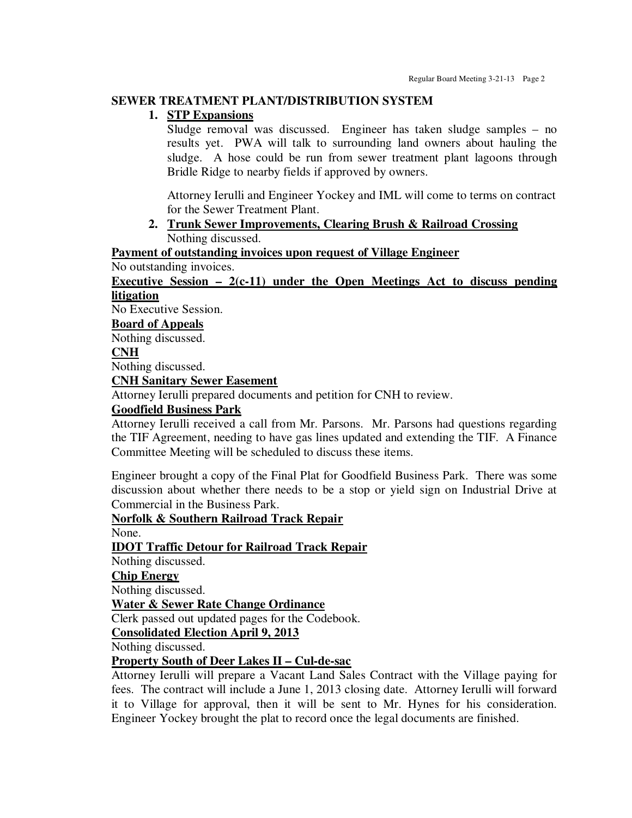#### **SEWER TREATMENT PLANT/DISTRIBUTION SYSTEM**

## **1. STP Expansions**

Sludge removal was discussed. Engineer has taken sludge samples – no results yet. PWA will talk to surrounding land owners about hauling the sludge. A hose could be run from sewer treatment plant lagoons through Bridle Ridge to nearby fields if approved by owners.

Attorney Ierulli and Engineer Yockey and IML will come to terms on contract for the Sewer Treatment Plant.

**2. Trunk Sewer Improvements, Clearing Brush & Railroad Crossing**  Nothing discussed.

**Payment of outstanding invoices upon request of Village Engineer** 

No outstanding invoices.

#### **Executive Session – 2(c-11) under the Open Meetings Act to discuss pending litigation**

No Executive Session.

#### **Board of Appeals**

Nothing discussed.

#### **CNH**

Nothing discussed.

## **CNH Sanitary Sewer Easement**

Attorney Ierulli prepared documents and petition for CNH to review.

#### **Goodfield Business Park**

Attorney Ierulli received a call from Mr. Parsons. Mr. Parsons had questions regarding the TIF Agreement, needing to have gas lines updated and extending the TIF. A Finance Committee Meeting will be scheduled to discuss these items.

Engineer brought a copy of the Final Plat for Goodfield Business Park. There was some discussion about whether there needs to be a stop or yield sign on Industrial Drive at Commercial in the Business Park.

**Norfolk & Southern Railroad Track Repair** 

None.

**IDOT Traffic Detour for Railroad Track Repair** 

Nothing discussed.

**Chip Energy** 

Nothing discussed.

**Water & Sewer Rate Change Ordinance** 

Clerk passed out updated pages for the Codebook.

**Consolidated Election April 9, 2013** 

Nothing discussed.

## **Property South of Deer Lakes II – Cul-de-sac**

Attorney Ierulli will prepare a Vacant Land Sales Contract with the Village paying for fees. The contract will include a June 1, 2013 closing date. Attorney Ierulli will forward it to Village for approval, then it will be sent to Mr. Hynes for his consideration. Engineer Yockey brought the plat to record once the legal documents are finished.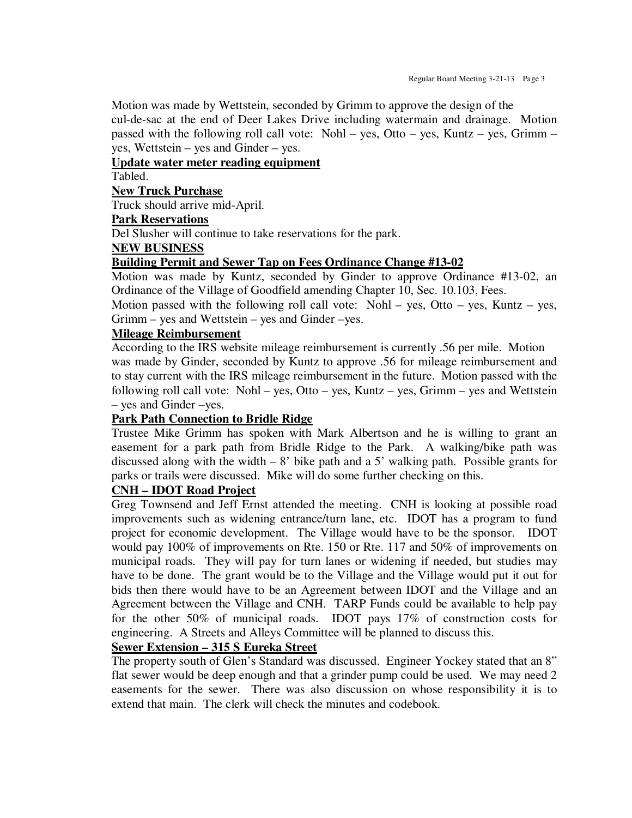Motion was made by Wettstein, seconded by Grimm to approve the design of the cul-de-sac at the end of Deer Lakes Drive including watermain and drainage. Motion passed with the following roll call vote: Nohl – yes, Otto – yes, Kuntz – yes, Grimm – yes, Wettstein – yes and Ginder – yes.

## **Update water meter reading equipment**

Tabled.

#### **New Truck Purchase**

Truck should arrive mid-April.

#### **Park Reservations**

Del Slusher will continue to take reservations for the park.

#### **NEW BUSINESS**

#### **Building Permit and Sewer Tap on Fees Ordinance Change #13-02**

Motion was made by Kuntz, seconded by Ginder to approve Ordinance #13-02, an Ordinance of the Village of Goodfield amending Chapter 10, Sec. 10.103, Fees.

Motion passed with the following roll call vote: Nohl – yes, Otto – yes, Kuntz – yes, Grimm – yes and Wettstein – yes and Ginder –yes.

#### **Mileage Reimbursement**

According to the IRS website mileage reimbursement is currently .56 per mile. Motion was made by Ginder, seconded by Kuntz to approve .56 for mileage reimbursement and to stay current with the IRS mileage reimbursement in the future. Motion passed with the following roll call vote: Nohl – yes, Otto – yes, Kuntz – yes, Grimm – yes and Wettstein – yes and Ginder –yes.

#### **Park Path Connection to Bridle Ridge**

Trustee Mike Grimm has spoken with Mark Albertson and he is willing to grant an easement for a park path from Bridle Ridge to the Park. A walking/bike path was discussed along with the width  $-8$ ' bike path and a 5' walking path. Possible grants for parks or trails were discussed. Mike will do some further checking on this.

#### **CNH – IDOT Road Project**

Greg Townsend and Jeff Ernst attended the meeting. CNH is looking at possible road improvements such as widening entrance/turn lane, etc. IDOT has a program to fund project for economic development. The Village would have to be the sponsor. IDOT would pay 100% of improvements on Rte. 150 or Rte. 117 and 50% of improvements on municipal roads. They will pay for turn lanes or widening if needed, but studies may have to be done. The grant would be to the Village and the Village would put it out for bids then there would have to be an Agreement between IDOT and the Village and an Agreement between the Village and CNH. TARP Funds could be available to help pay for the other 50% of municipal roads. IDOT pays 17% of construction costs for engineering. A Streets and Alleys Committee will be planned to discuss this.

## **Sewer Extension – 315 S Eureka Street**

The property south of Glen's Standard was discussed. Engineer Yockey stated that an 8" flat sewer would be deep enough and that a grinder pump could be used. We may need 2 easements for the sewer. There was also discussion on whose responsibility it is to extend that main. The clerk will check the minutes and codebook.